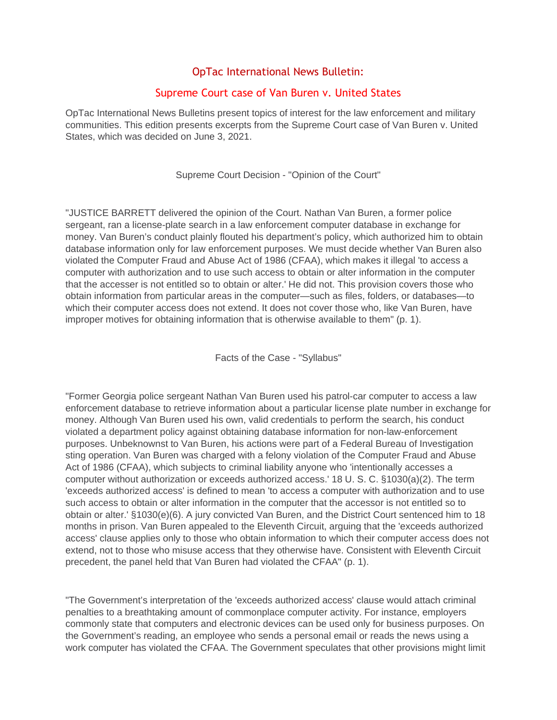## OpTac International News Bulletin:

## Supreme Court case of Van Buren v. United States

OpTac International News Bulletins present topics of interest for the law enforcement and military communities. This edition presents excerpts from the Supreme Court case of Van Buren v. United States, which was decided on June 3, 2021.

Supreme Court Decision - "Opinion of the Court"

"JUSTICE BARRETT delivered the opinion of the Court. Nathan Van Buren, a former police sergeant, ran a license-plate search in a law enforcement computer database in exchange for money. Van Buren's conduct plainly flouted his department's policy, which authorized him to obtain database information only for law enforcement purposes. We must decide whether Van Buren also violated the Computer Fraud and Abuse Act of 1986 (CFAA), which makes it illegal 'to access a computer with authorization and to use such access to obtain or alter information in the computer that the accesser is not entitled so to obtain or alter.' He did not. This provision covers those who obtain information from particular areas in the computer—such as files, folders, or databases—to which their computer access does not extend. It does not cover those who, like Van Buren, have improper motives for obtaining information that is otherwise available to them" (p. 1).

Facts of the Case - "Syllabus"

"Former Georgia police sergeant Nathan Van Buren used his patrol-car computer to access a law enforcement database to retrieve information about a particular license plate number in exchange for money. Although Van Buren used his own, valid credentials to perform the search, his conduct violated a department policy against obtaining database information for non-law-enforcement purposes. Unbeknownst to Van Buren, his actions were part of a Federal Bureau of Investigation sting operation. Van Buren was charged with a felony violation of the Computer Fraud and Abuse Act of 1986 (CFAA), which subjects to criminal liability anyone who 'intentionally accesses a computer without authorization or exceeds authorized access.' 18 U. S. C. §1030(a)(2). The term 'exceeds authorized access' is defined to mean 'to access a computer with authorization and to use such access to obtain or alter information in the computer that the accessor is not entitled so to obtain or alter.' §1030(e)(6). A jury convicted Van Buren, and the District Court sentenced him to 18 months in prison. Van Buren appealed to the Eleventh Circuit, arguing that the 'exceeds authorized access' clause applies only to those who obtain information to which their computer access does not extend, not to those who misuse access that they otherwise have. Consistent with Eleventh Circuit precedent, the panel held that Van Buren had violated the CFAA" (p. 1).

"The Government's interpretation of the 'exceeds authorized access' clause would attach criminal penalties to a breathtaking amount of commonplace computer activity. For instance, employers commonly state that computers and electronic devices can be used only for business purposes. On the Government's reading, an employee who sends a personal email or reads the news using a work computer has violated the CFAA. The Government speculates that other provisions might limit